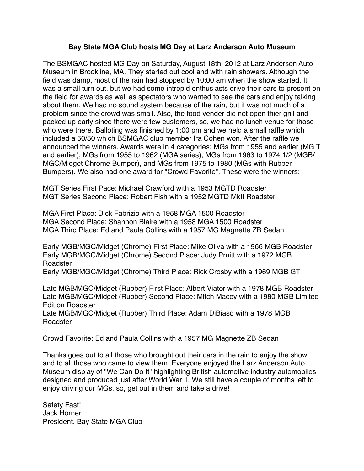## **Bay State MGA Club hosts MG Day at Larz Anderson Auto Museum**

The BSMGAC hosted MG Day on Saturday, August 18th, 2012 at Larz Anderson Auto Museum in Brookline, MA. They started out cool and with rain showers. Although the field was damp, most of the rain had stopped by 10:00 am when the show started. It was a small turn out, but we had some intrepid enthusiasts drive their cars to present on the field for awards as well as spectators who wanted to see the cars and enjoy talking about them. We had no sound system because of the rain, but it was not much of a problem since the crowd was small. Also, the food vender did not open thier grill and packed up early since there were few customers, so, we had no lunch venue for those who were there. Balloting was finished by 1:00 pm and we held a small raffle which included a 50/50 which BSMGAC club member Ira Cohen won. After the raffle we announced the winners. Awards were in 4 categories: MGs from 1955 and earlier (MG T and earlier), MGs from 1955 to 1962 (MGA series), MGs from 1963 to 1974 1/2 (MGB/ MGC/Midget Chrome Bumper), and MGs from 1975 to 1980 (MGs with Rubber Bumpers). We also had one award for "Crowd Favorite". These were the winners:

MGT Series First Pace: Michael Crawford with a 1953 MGTD Roadster MGT Series Second Place: Robert Fish with a 1952 MGTD MkII Roadster

MGA First Place: Dick Fabrizio with a 1958 MGA 1500 Roadster MGA Second Place: Shannon Blaire with a 1958 MGA 1500 Roadster MGA Third Place: Ed and Paula Collins with a 1957 MG Magnette ZB Sedan

Early MGB/MGC/Midget (Chrome) First Place: Mike Oliva with a 1966 MGB Roadster Early MGB/MGC/Midget (Chrome) Second Place: Judy Pruitt with a 1972 MGB Roadster

Early MGB/MGC/Midget (Chrome) Third Place: Rick Crosby with a 1969 MGB GT

Late MGB/MGC/Midget (Rubber) First Place: Albert Viator with a 1978 MGB Roadster Late MGB/MGC/Midget (Rubber) Second Place: Mitch Macey with a 1980 MGB Limited Edition Roadster

Late MGB/MGC/Midget (Rubber) Third Place: Adam DiBiaso with a 1978 MGB Roadster

Crowd Favorite: Ed and Paula Collins with a 1957 MG Magnette ZB Sedan

Thanks goes out to all those who brought out their cars in the rain to enjoy the show and to all those who came to view them. Everyone enjoyed the Larz Anderson Auto Museum display of "We Can Do It" highlighting British automotive industry automobiles designed and produced just after World War II. We still have a couple of months left to enjoy driving our MGs, so, get out in them and take a drive!

Safety Fast! Jack Horner President, Bay State MGA Club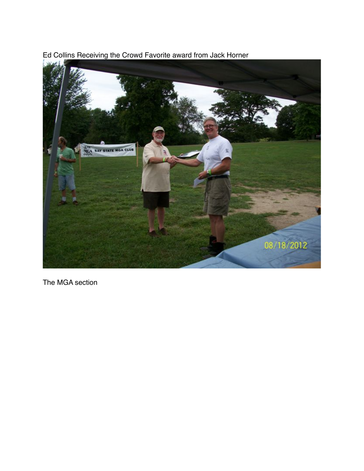Ed Collins Receiving the Crowd Favorite award from Jack Horner



The MGA section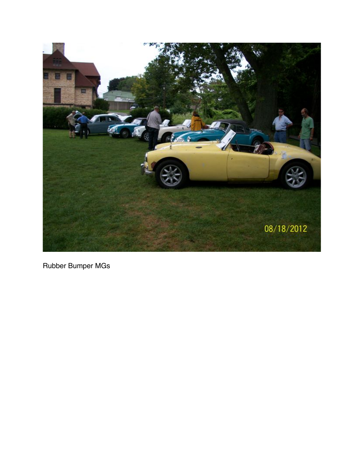

Rubber Bumper MGs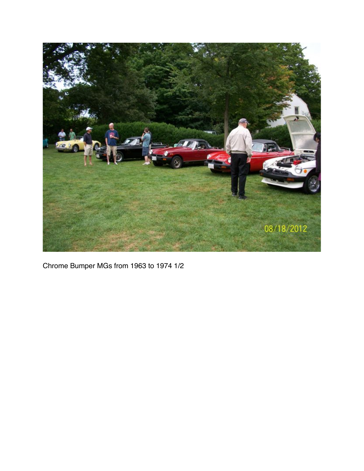

Chrome Bumper MGs from 1963 to 1974 1/2